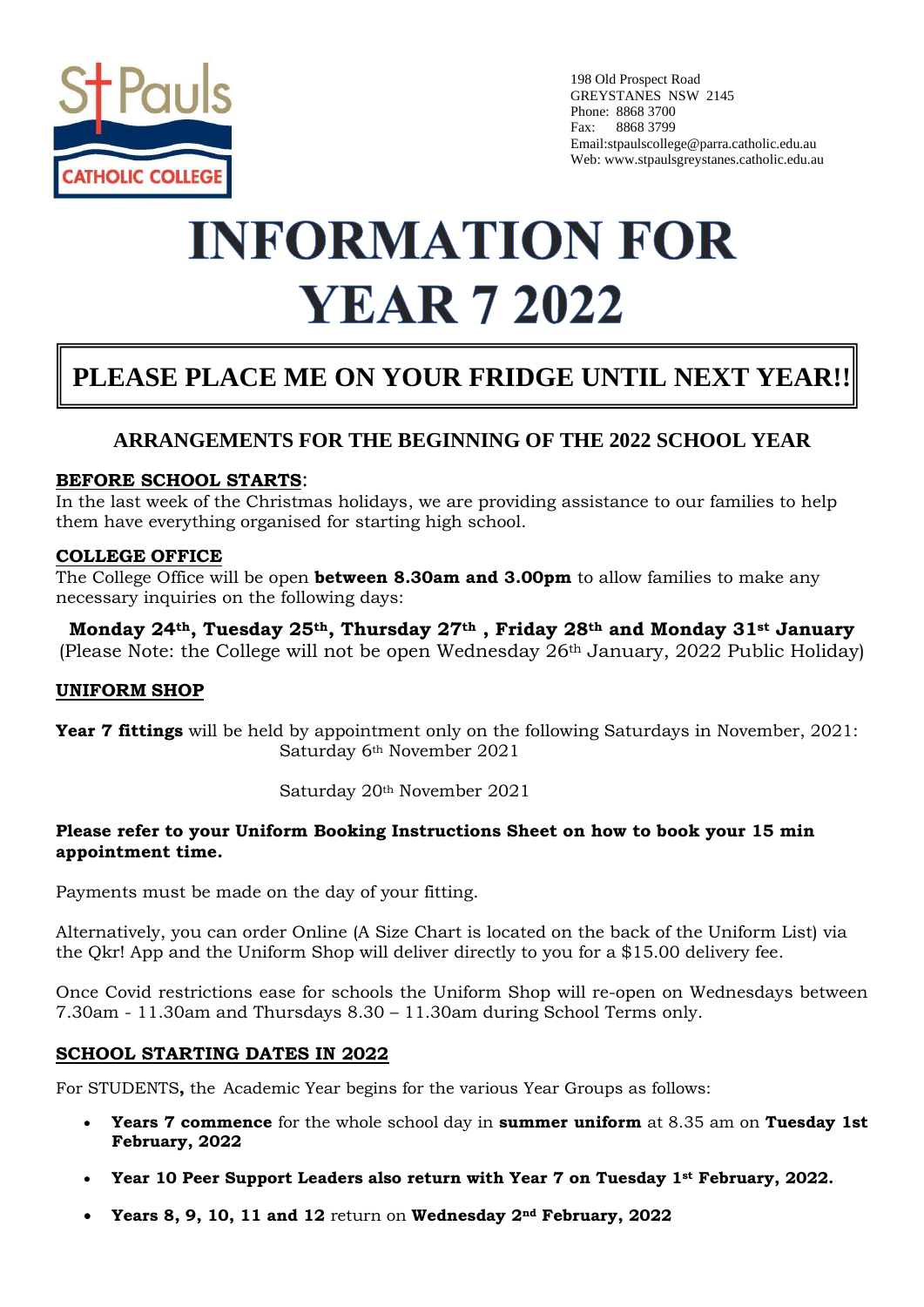

198 Old Prospect Road GREYSTANES NSW 2145 Phone: 8868 3700 Fax: 8868 3799 Email:stpaulscollege@parra.catholic.edu.au Web: www.stpaulsgreystanes.catholic.edu.au

# **INFORMATION FOR YEAR 7 2022**

## **PLEASE PLACE ME ON YOUR FRIDGE UNTIL NEXT YEAR!!**

### **ARRANGEMENTS FOR THE BEGINNING OF THE 2022 SCHOOL YEAR**

#### **BEFORE SCHOOL STARTS**:

In the last week of the Christmas holidays, we are providing assistance to our families to help them have everything organised for starting high school.

#### **COLLEGE OFFICE**

The College Office will be open **between 8.30am and 3.00pm** to allow families to make any necessary inquiries on the following days:

**Monday 24th, Tuesday 25th, Thursday 27th , Friday 28th and Monday 31st January** (Please Note: the College will not be open Wednesday 26th January, 2022 Public Holiday)

#### **UNIFORM SHOP**

**Year 7 fittings** will be held by appointment only on the following Saturdays in November, 2021: Saturday 6th November 2021

Saturday 20th November 2021

#### **Please refer to your Uniform Booking Instructions Sheet on how to book your 15 min appointment time.**

Payments must be made on the day of your fitting.

Alternatively, you can order Online (A Size Chart is located on the back of the Uniform List) via the Qkr! App and the Uniform Shop will deliver directly to you for a \$15.00 delivery fee.

Once Covid restrictions ease for schools the Uniform Shop will re-open on Wednesdays between 7.30am - 11.30am and Thursdays 8.30 – 11.30am during School Terms only.

#### **SCHOOL STARTING DATES IN 2022**

For STUDENTS**,** the Academic Year begins for the various Year Groups as follows:

- **Years 7 commence** for the whole school day in **summer uniform** at 8.35 am on **Tuesday 1st February, 2022**
- **Year 10 Peer Support Leaders also return with Year 7 on Tuesday 1st February, 2022.**
- **Years 8, 9, 10, 11 and 12** return on **Wednesday 2nd February, 2022**